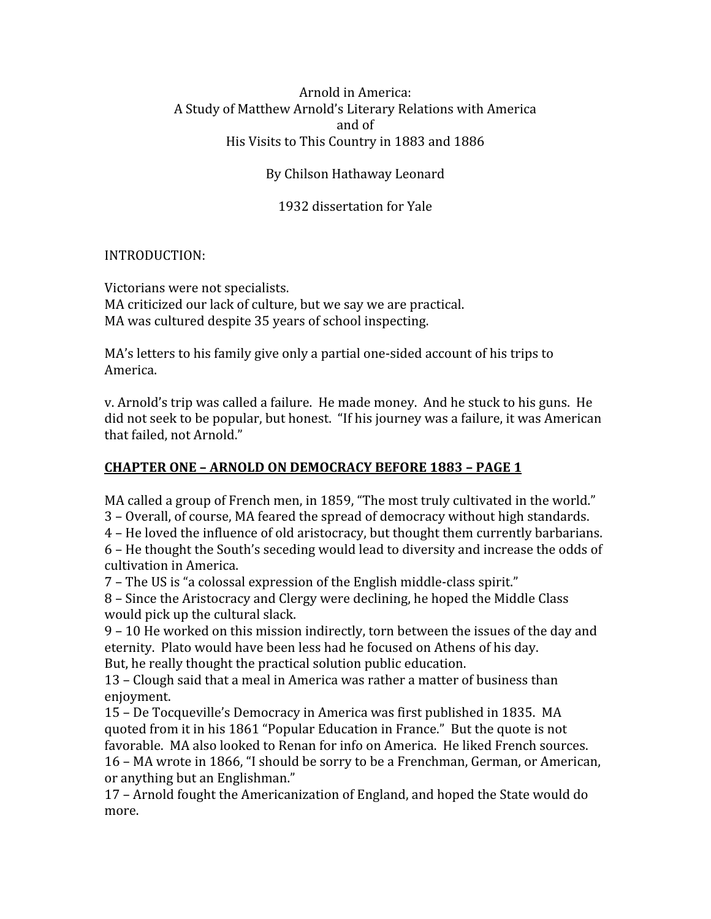#### Arnold
in
America: A
Study
of
Matthew
Arnold's
Literary
Relations
with
America and
of His
Visits
to
This
Country
in
1883
and
1886

### By
Chilson
Hathaway
Leonard

### 1932
dissertation
for
Yale

#### INTRODUCTION:

Victorians
were
not
specialists. MA criticized our lack of culture, but we say we are practical. MA
was
cultured
despite
35
years
of
school
inspecting.

MA's letters to his family give only a partial one-sided account of his trips to America.

v.
Arnold's
trip
was
called
a
failure.

He
made
money.

And
he
stuck
to
his
guns.

He did
not
seek
to
be
popular,
but
honest.

"If
his
journey
was
a
failure,
it
was
American that
failed,
not
Arnold."

## **CHAPTER
ONE
–
ARNOLD
ON
DEMOCRACY
BEFORE
1883
–
PAGE
1**

MA called a group of French men, in 1859, "The most truly cultivated in the world." 3
–
Overall,
of
course,
MA
feared
the
spread
of
democracy
without
high
standards.

4
–
He
loved
the
influence
of
old
aristocracy,
but
thought
them
currently
barbarians.

6
–
He
thought
the
South's
seceding
would
lead
to
diversity
and
increase
the
odds
of cultivation
in
America.

7
–
The
US
is
"a
colossal
expression
of
the
English
middle‐class
spirit."

8
–
Since
the
Aristocracy
and
Clergy
were
declining,
he
hoped
the
Middle
Class would
pick
up
the
cultural
slack.

9
–
10
He
worked
on
this
mission
indirectly,
torn
between
the
issues
of
the
day
and eternity.

Plato
would
have
been
less
had
he
focused
on
Athens
of
his
day. But, he really thought the practical solution public education.

13
–
Clough
said
that
a
meal
in
America
was
rather
a
matter
of
business
than enjoyment.

15
–
De
Tocqueville's
Democracy
in
America
was
first
published
in
1835.

MA quoted
from
it
in
his
1861
"Popular
Education
in
France."

But
the
quote
is
not favorable. MA also looked to Renan for info on America. He liked French sources. 16
–
MA
wrote
in
1866,
"I
should
be
sorry
to
be
a
Frenchman,
German,
or
American, or
anything
but
an
Englishman."

17
–
Arnold
fought
the
Americanization
of
England,
and
hoped
the
State
would
do more.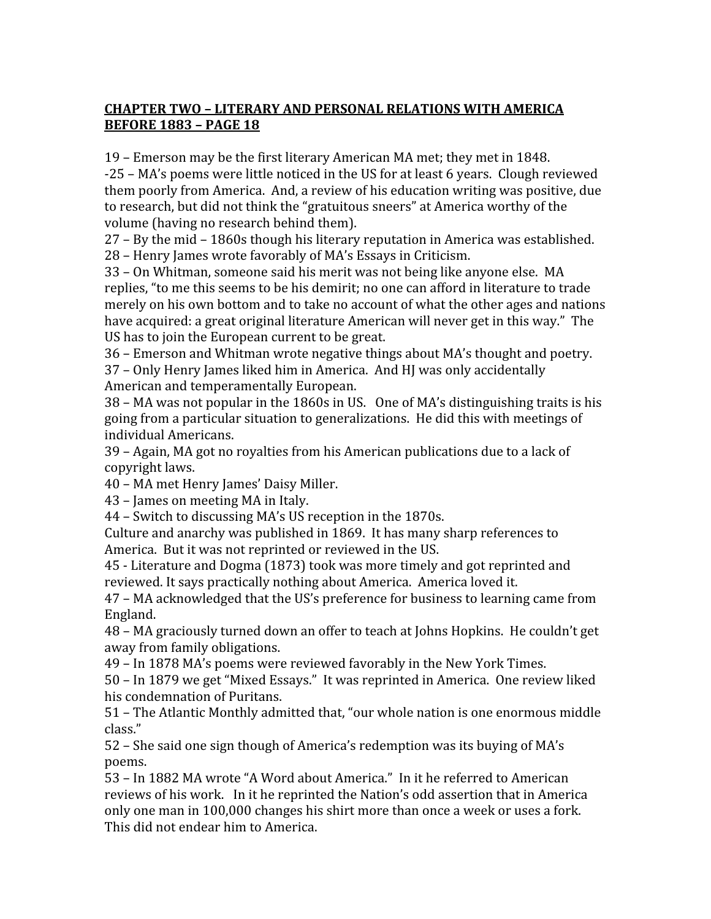# **CHAPTER
TWO
–
LITERARY
AND
PERSONAL
RELATIONS
WITH
AMERICA BEFORE
1883
–
PAGE
18**

19
–
Emerson
may
be
the
first
literary
American
MA
met;
they
met
in
1848. ‐25
–
MA's
poems
were
little
noticed
in
the
US
for
at
least
6
years.

Clough
reviewed them
poorly
from
America.

And,
a
review
of
his
education
writing
was
positive,
due to research, but did not think the "gratuitous sneers" at America worthy of the volume
(having
no
research
behind
them).

27
–
By
the
mid
–
1860s
though
his
literary
reputation
in
America
was
established. 28
–
Henry
James
wrote
favorably
of
MA's
Essays
in
Criticism.

33
–
On
Whitman,
someone
said
his
merit
was
not
being
like
anyone
else.

MA replies, "to me this seems to be his demirit; no one can afford in literature to trade merely on his own bottom and to take no account of what the other ages and nations have acquired: a great original literature American will never get in this way." The US
has
to
join
the
European
current
to
be
great.

36
–
Emerson
and
Whitman
wrote
negative
things
about
MA's
thought
and
poetry. 37
–
Only
Henry
James
liked
him
in
America.

And
HJ
was
only
accidentally American
and
temperamentally
European.

38
–
MA
was
not
popular
in
the
1860s
in
US.

One
of
MA's
distinguishing
traits
is
his going
from
a
particular
situation
to
generalizations.

He
did
this
with
meetings
of individual
Americans.

39
–
Again,
MA
got
no
royalties
from
his
American
publications
due
to
a
lack
of copyright
laws.

40
–
MA
met
Henry
James'
Daisy
Miller.

43
–
James
on
meeting
MA
in
Italy.

44
–
Switch
to
discussing
MA's
US
reception
in
the
1870s.

Culture
and
anarchy
was
published
in
1869.

It
has
many
sharp
references
to America.

But
it
was
not
reprinted
or
reviewed
in
the
US.

45
‐
Literature
and
Dogma
(1873)
took
was
more
timely
and
got
reprinted
and reviewed. It says practically nothing about America. America loved it.

47
–
MA
acknowledged
that
the
US's
preference
for
business
to
learning
came
from England.

48
–
MA
graciously
turned
down
an
offer
to
teach
at
Johns
Hopkins.

He
couldn't
get away
from
family
obligations.

49
–
In
1878
MA's
poems
were
reviewed
favorably
in
the
New
York
Times.

50
–
In
1879
we
get
"Mixed
Essays."

It
was
reprinted
in
America.

One
review
liked his
condemnation
of
Puritans.

51
–
The
Atlantic
Monthly
admitted
that,
"our
whole
nation
is
one
enormous
middle class."

52
–
She
said
one
sign
though
of
America's
redemption
was
its
buying
of
MA's poems.

53
–
In
1882
MA
wrote
"A
Word
about
America."

In
it
he
referred
to
American reviews of his work. In it he reprinted the Nation's odd assertion that in America only
one
man
in
100,000
changes
his
shirt
more
than
once
a
week
or
uses
a
fork. This
did
not
endear
him
to
America.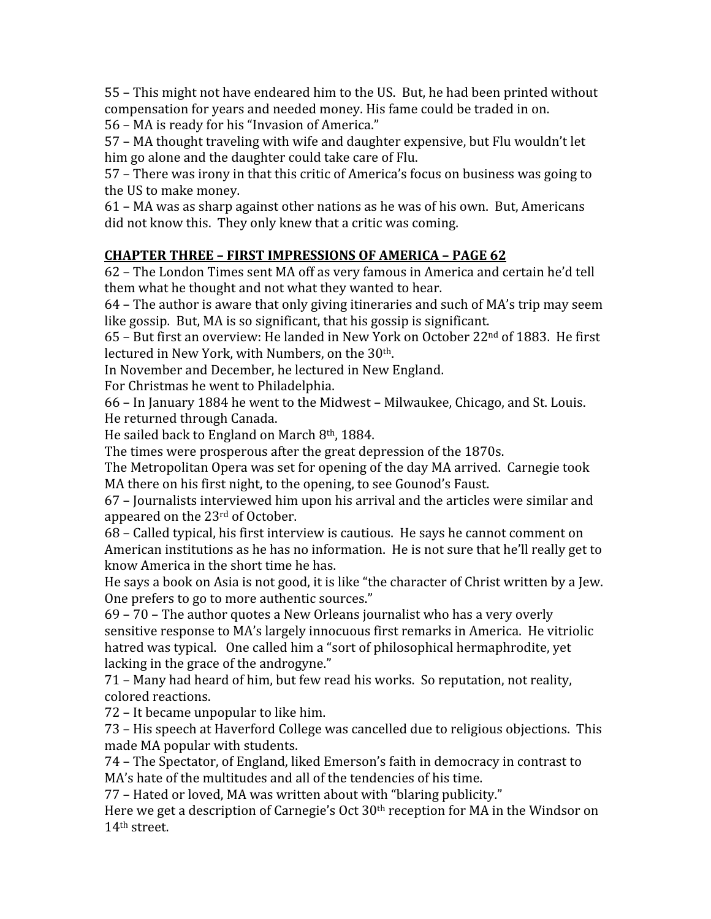55
–
This
might
not
have
endeared
him
to
the
US.

But,
he
had
been
printed
without compensation
for
years
and
needed
money.
His
fame
could
be
traded
in
on.

56
–
MA
is
ready
for
his
"Invasion
of
America."

57
–
MA
thought
traveling
with
wife
and
daughter
expensive,
but
Flu
wouldn't
let him go alone and the daughter could take care of Flu.

57
–
There
was
irony
in
that
this
critic
of
America's
focus
on
business
was
going
to the
US
to
make
money.

61
–
MA
was
as
sharp
against
other
nations
as
he
was
of
his
own.

But,
Americans did not know this. They only knew that a critic was coming.

# **CHAPTER
THREE
–
FIRST
IMPRESSIONS
OF
AMERICA
–
PAGE
62**

62
–
The
London
Times
sent
MA
off
as
very
famous
in
America
and
certain
he'd
tell them what he thought and not what they wanted to hear.

64
–
The
author
is
aware
that
only
giving
itineraries
and
such
of
MA's
trip
may
seem like gossip. But, MA is so significant, that his gossip is significant.

65
–
But
first
an
overview:
He
landed
in
New
York
on
October
22nd
of
1883.

He
first lectured
in
New
York,
with
Numbers,
on
the
30th.

In
November
and
December,
he
lectured
in
New
England.

For
Christmas
he
went
to
Philadelphia.

66
–
In
January
1884
he
went
to
the
Midwest
–
Milwaukee,
Chicago,
and
St.
Louis. He
returned
through
Canada.

He sailed back to England on March 8<sup>th</sup>, 1884.

The
times
were
prosperous
after
the
great
depression
of
the
1870s.

The
Metropolitan
Opera
was
set
for
opening
of
the
day
MA
arrived.

Carnegie
took MA there on his first night, to the opening, to see Gounod's Faust.

67
–
Journalists
interviewed
him
upon
his
arrival
and
the
articles
were
similar
and appeared
on
the
23rd
of
October.

68
–
Called
typical,
his
first
interview
is
cautious.

He
says
he
cannot
comment
on American
institutions
as
he
has
no
information.

He
is
not
sure
that
he'll
really
get
to know
America
in
the
short
time
he
has.

He says a book on Asia is not good, it is like "the character of Christ written by a Jew. One prefers to go to more authentic sources."

69
–
70
–
The
author
quotes
a
New
Orleans
journalist
who
has
a
very
overly sensitive response to MA's largely innocuous first remarks in America. He vitriolic hatred was typical. One called him a "sort of philosophical hermaphrodite, yet lacking in the grace of the androgyne."

71
–
Many
had
heard
of
him,
but
few
read
his
works.

So
reputation,
not
reality, colored
reactions.

72
–
It
became
unpopular
to
like
him.

73
–
His
speech
at
Haverford
College
was
cancelled
due
to
religious
objections.

This made
MA
popular
with
students.

74
–
The
Spectator,
of
England,
liked
Emerson's
faith
in
democracy
in
contrast
to MA's hate of the multitudes and all of the tendencies of his time.

77
–
Hated
or
loved,
MA
was
written
about
with
"blaring
publicity."

Here we get a description of Carnegie's Oct 30<sup>th</sup> reception for MA in the Windsor on 14th
street.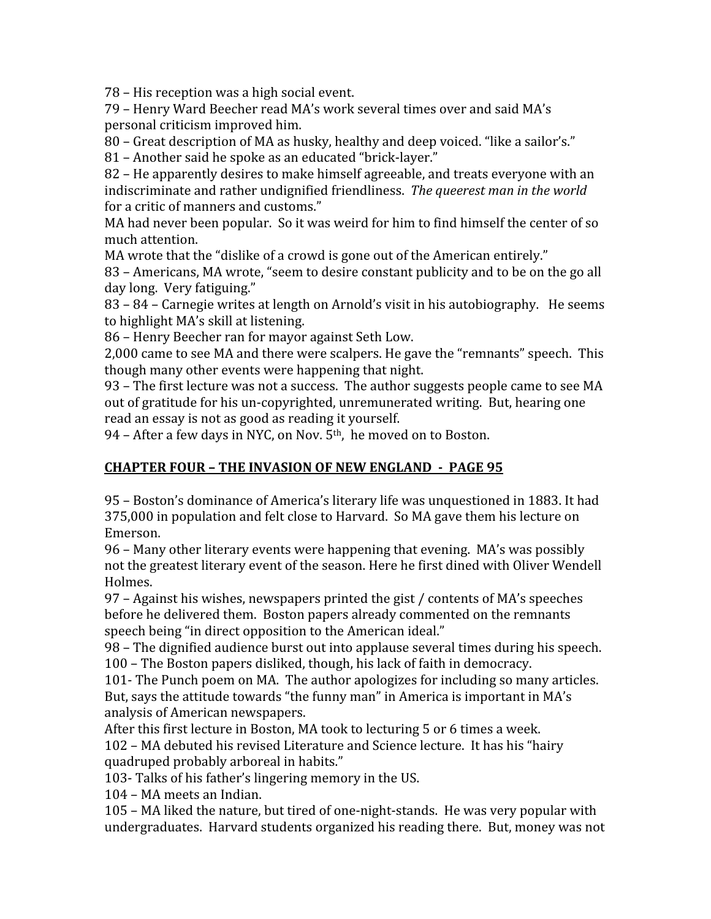78
–
His
reception
was
a
high
social
event.

79
–
Henry
Ward
Beecher
read
MA's
work
several
times
over
and
said
MA's personal
criticism
improved
him.

80 – Great description of MA as husky, healthy and deep voiced. "like a sailor's."

81 – Another said he spoke as an educated "brick-layer."

82
–
He
apparently
desires
to
make
himself
agreeable,
and
treats
everyone
with
an indiscriminate and rather undignified friendliness. The queerest man in the world for
a
critic
of
manners
and
customs."

MA had never been popular. So it was weird for him to find himself the center of so much
attention.

MA wrote that the "dislike of a crowd is gone out of the American entirely."

83 – Americans, MA wrote, "seem to desire constant publicity and to be on the go all day
long.

Very
fatiguing."

83 – 84 – Carnegie writes at length on Arnold's visit in his autobiography. He seems to
highlight
MA's
skill
at
listening.

86
–
Henry
Beecher
ran
for
mayor
against
Seth
Low.

2,000
came
to
see
MA
and
there
were
scalpers.
He
gave
the
"remnants"
speech.

This though
many
other
events
were
happening
that
night.

93 – The first lecture was not a success. The author suggests people came to see MA out of gratitude for his un-copyrighted, unremunerated writing. But, hearing one read
an
essay
is
not
as
good
as
reading
it
yourself.

94 – After a few days in NYC, on Nov. 5<sup>th</sup>, he moved on to Boston.

# **CHAPTER
FOUR
–
THE
INVASION
OF
NEW
ENGLAND

PAGE
95**

95
–
Boston's
dominance
of
America's
literary
life
was
unquestioned
in
1883.
It
had 375,000
in
population
and
felt
close
to
Harvard.

So
MA
gave
them
his
lecture
on Emerson.

96
–
Many
other
literary
events
were
happening
that
evening.

MA's
was
possibly not
the
greatest
literary
event
of
the
season.
Here
he
first
dined
with
Oliver
Wendell Holmes.

97
–
Against
his
wishes,
newspapers
printed
the
gist
/
contents
of
MA's
speeches before
he
delivered
them.

Boston
papers
already
commented
on
the
remnants speech being "in direct opposition to the American ideal."

98
–
The
dignified
audience
burst
out
into
applause
several
times
during
his
speech. 100
–
The
Boston
papers
disliked,
though,
his
lack
of
faith
in
democracy.

101 The Punch poem on MA. The author apologizes for including so many articles. But, says the attitude towards "the funny man" in America is important in MA's analysis
of
American
newspapers.

After this first lecture in Boston, MA took to lecturing 5 or 6 times a week.

102
–
MA
debuted
his
revised
Literature
and
Science
lecture.

It
has
his
"hairy quadruped
probably
arboreal
in
habits."

103‐
Talks
of
his
father's
lingering
memory
in
the
US.

104
–
MA
meets
an
Indian.

105
–
MA
liked
the
nature,
but
tired
of
one‐night‐stands.

He
was
very
popular
with undergraduates. Harvard students organized his reading there. But, money was not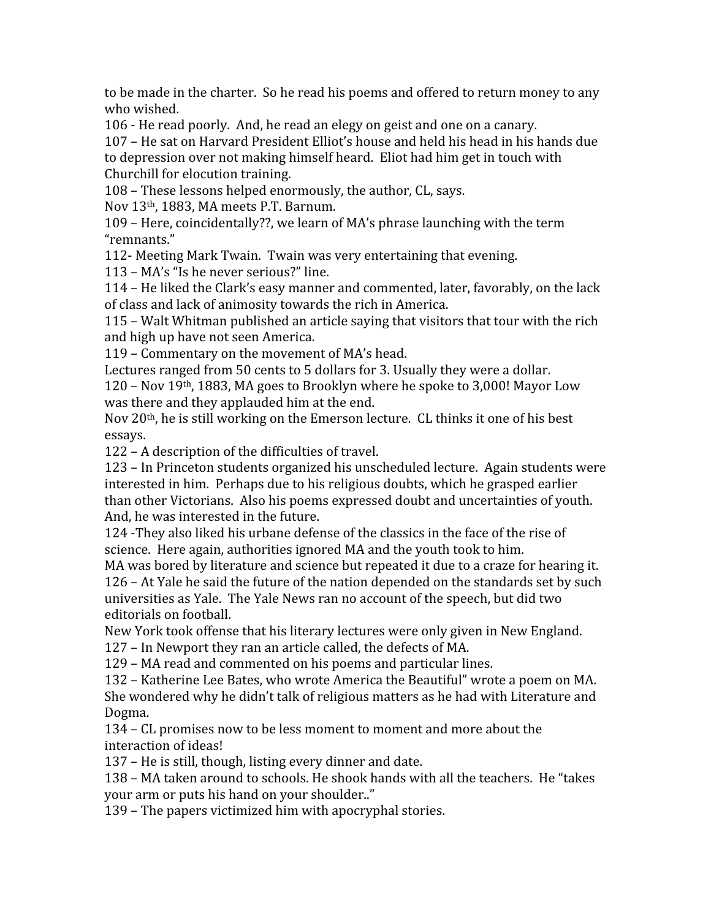to be made in the charter. So he read his poems and offered to return money to any who
wished.

106
‐
He
read
poorly.

And,
he
read
an
elegy
on
geist
and
one
on
a
canary.

107
–
He
sat
on
Harvard
President
Elliot's
house
and
held
his
head
in
his
hands
due to
depression
over
not
making
himself
heard.

Eliot
had
him
get
in
touch
with Churchill
for
elocution
training.

108
–
These
lessons
helped
enormously,
the
author,
CL,
says.

Nov
13th,
1883,
MA
meets
P.T.
Barnum.

109
–
Here,
coincidentally??,
we
learn
of
MA's
phrase
launching
with
the
term "remnants."

112‐
Meeting
Mark
Twain.

Twain
was
very
entertaining
that
evening.

113
–
MA's
"Is
he
never
serious?"
line.

114
–
He
liked
the
Clark's
easy
manner
and
commented,
later,
favorably,
on
the
lack of
class
and
lack
of
animosity
towards
the
rich
in
America.

115
–
Walt
Whitman
published
an
article
saying
that
visitors
that
tour
with
the
rich and
high
up
have
not
seen
America.

119
–
Commentary
on
the
movement
of
MA's
head.

Lectures ranged from 50 cents to 5 dollars for 3. Usually they were a dollar.

120
–
Nov
19th,
1883,
MA
goes
to
Brooklyn
where
he
spoke
to
3,000!
Mayor
Low was
there
and
they
applauded
him
at
the
end.

Nov 20<sup>th</sup>, he is still working on the Emerson lecture. CL thinks it one of his best essays.

122
–
A
description
of
the
difficulties
of
travel.

123
–
In
Princeton
students
organized
his
unscheduled
lecture.

Again
students
were interested
in
him.

Perhaps
due
to
his
religious
doubts,
which
he
grasped
earlier than
other
Victorians.

Also
his
poems
expressed
doubt
and
uncertainties
of
youth. And,
he
was
interested
in
the
future.

124
‐They
also
liked
his
urbane
defense
of
the
classics
in
the
face
of
the
rise
of science.

Here
again,
authorities
ignored
MA
and
the
youth
took
to
him.

MA was bored by literature and science but repeated it due to a craze for hearing it. 126
–
At
Yale
he
said
the
future
of
the
nation
depended
on
the
standards
set
by
such

universities as Yale. The Yale News ran no account of the speech, but did two editorials
on
football.

New
York
took
offense
that
his
literary
lectures
were
only
given
in
New
England.

127
–
In
Newport
they
ran
an
article
called,
the
defects
of
MA.

129
–
MA
read
and
commented
on
his
poems
and
particular
lines.

132
–
Katherine
Lee
Bates,
who
wrote
America
the
Beautiful"
wrote
a
poem
on
MA. She
wondered
why
he
didn't
talk
of
religious
matters
as
he
had
with
Literature
and Dogma.

134
–
CL
promises
now
to
be
less
moment
to
moment
and
more
about
the interaction
of
ideas!

137
–
He
is
still,
though,
listing
every
dinner
and
date.

138 – MA taken around to schools. He shook hands with all the teachers. He "takes" your
arm
or
puts
his
hand
on
your
shoulder.."

139
–
The
papers
victimized
him
with
apocryphal
stories.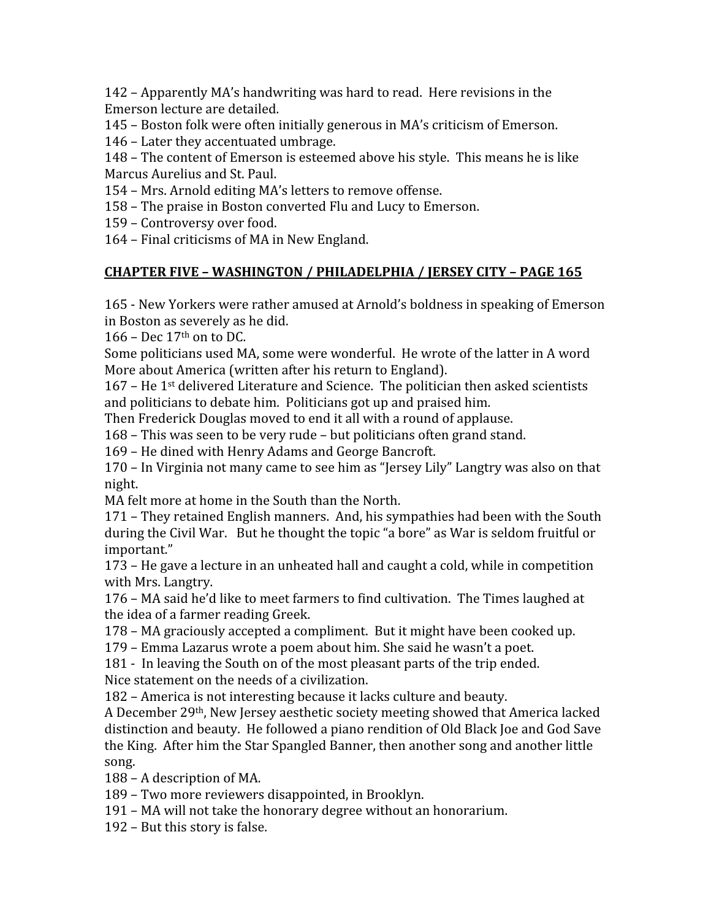142
–
Apparently
MA's
handwriting
was
hard
to
read.

Here
revisions
in
the Emerson
lecture
are
detailed.

- 145
–
Boston
folk
were
often
initially
generous
in
MA's
criticism
of
Emerson.
- 146
–
Later
they
accentuated
umbrage.

148
–
The
content
of
Emerson
is
esteemed
above
his
style.

This
means
he
is
like Marcus
Aurelius
and
St.
Paul.

154
–
Mrs.
Arnold
editing
MA's
letters
to
remove
offense.

- 158
–
The
praise
in
Boston
converted
Flu
and
Lucy
to
Emerson.
- 159
–
Controversy
over
food.

164
–
Final
criticisms
of
MA
in
New
England.

### **CHAPTER
FIVE
–
WASHINGTON
/
PHILADELPHIA
/
JERSEY
CITY
–
PAGE
165**

165
‐
New
Yorkers
were
rather
amused
at
Arnold's
boldness
in
speaking
of
Emerson in
Boston
as
severely
as
he
did.

166 – Dec 17th on to DC.

Some politicians used MA, some were wonderful. He wrote of the latter in A word More
about
America
(written
after
his
return
to
England).

167 –
He
1st
delivered
Literature
and
Science.

The
politician
then
asked
scientists and
politicians
to
debate
him.

Politicians
got
up
and
praised
him.

Then Frederick Douglas moved to end it all with a round of applause.

168
–
This
was
seen
to
be
very
rude –
but
politicians
often
grand
stand.

169
–
He
dined
with
Henry
Adams
and
George
Bancroft.

170 – In Virginia not many came to see him as "Jersey Lily" Langtry was also on that night.

MA felt more at home in the South than the North.

171
–
They
retained
English
manners.

And,
his
sympathies
had
been
with
the
South during the Civil War. But he thought the topic "a bore" as War is seldom fruitful or important."

173
–
He
gave
a
lecture
in
an
unheated
hall
and
caught
a
cold,
while
in
competition with
Mrs.
Langtry.

176
–
MA
said
he'd
like
to
meet
farmers
to
find
cultivation.

The
Times
laughed
at the
idea
of
a
farmer
reading
Greek.

178
–
MA
graciously
accepted
a
compliment.

But
it
might
have
been
cooked
up.

179
–
Emma
Lazarus
wrote
a
poem
about
him.
She
said
he
wasn't
a
poet.

181
‐

In
leaving
the
South
on
of
the
most
pleasant
parts
of
the
trip
ended. Nice statement on the needs of a civilization.

182
–
America
is
not
interesting
because
it
lacks
culture
and
beauty.

A
December
29th,
New
Jersey
aesthetic
society
meeting
showed
that
America
lacked distinction
and
beauty.

He
followed
a
piano
rendition
of
Old
Black
Joe
and
God
Save the
King.

After
him
the
Star
Spangled
Banner,
then
another
song
and
another
little song.

188
–
A
description
of
MA.

189
–
Two
more
reviewers
disappointed,
in
Brooklyn.

191
–
MA
will
not
take
the
honorary
degree
without
an
honorarium.

192
–
But
this
story
is
false.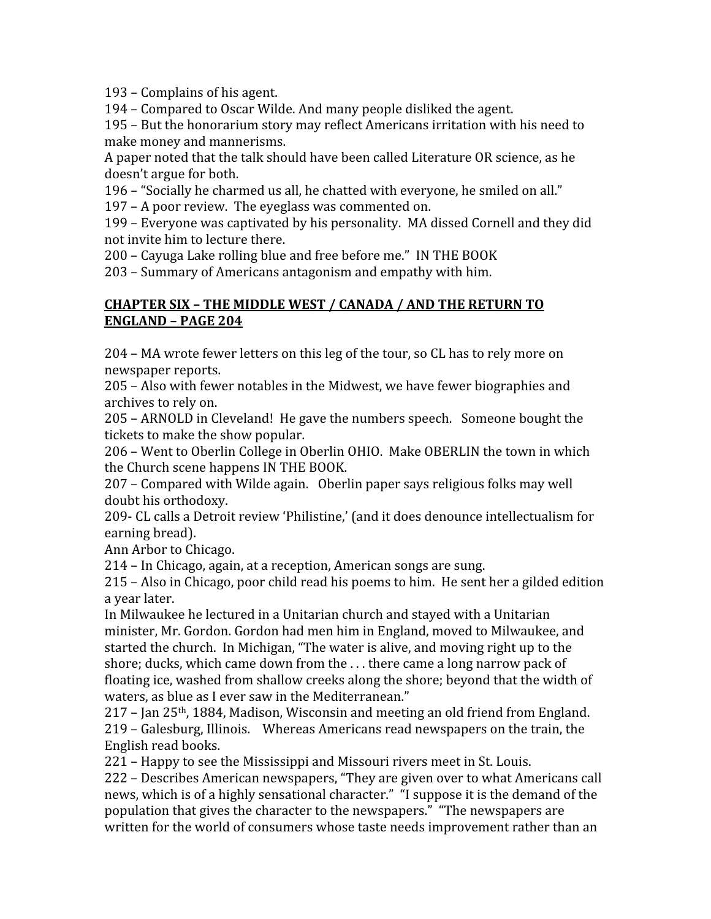193
–
Complains
of
his
agent.

194
–
Compared
to
Oscar
Wilde.
And
many
people
disliked
the
agent.

195
–
But
the
honorarium
story
may
reflect
Americans
irritation
with
his
need
to make
money
and
mannerisms.

A paper noted that the talk should have been called Literature OR science, as he doesn't
argue
for
both.

196 – "Socially he charmed us all, he chatted with everyone, he smiled on all."

197
–
A
poor
review.

The
eyeglass
was
commented
on.

199
–
Everyone
was
captivated
by
his
personality.

MA
dissed
Cornell
and
they
did not
invite
him
to
lecture
there.

200
–
Cayuga
Lake
rolling
blue
and
free
before
me."

IN
THE
BOOK

203
–
Summary
of
Americans
antagonism
and
empathy
with
him.

#### CHAPTER SIX - THE MIDDLE WEST / CANADA / AND THE RETURN TO **ENGLAND
–
PAGE
204**

204
–
MA
wrote
fewer
letters
on
this
leg
of
the
tour,
so
CL
has
to
rely
more
on newspaper
reports.

205
–
Also
with
fewer
notables
in
the
Midwest,
we
have
fewer
biographies
and archives
to
rely
on.

205
–
ARNOLD
in
Cleveland!

He
gave
the
numbers
speech.

Someone
bought
the tickets
to
make
the
show
popular.

206
–
Went
to
Oberlin
College
in
Oberlin
OHIO.

Make
OBERLIN
the
town
in
which the
Church
scene
happens
IN
THE
BOOK.

207
–
Compared
with
Wilde
again.

Oberlin
paper
says
religious
folks
may
well doubt
his
orthodoxy.

209‐
CL
calls
a
Detroit
review
'Philistine,'
(and
it
does
denounce
intellectualism
for earning
bread).

Ann
Arbor
to
Chicago.

214
–
In
Chicago,
again,
at
a
reception,
American
songs
are
sung.

215
–
Also
in
Chicago,
poor
child
read
his
poems
to
him.

He
sent
her
a
gilded
edition a
year
later.

In Milwaukee he lectured in a Unitarian church and stayed with a Unitarian minister,
Mr.
Gordon.
Gordon
had
men
him
in
England,
moved
to
Milwaukee,
and started
the
church.

In
Michigan,
"The
water
is
alive,
and
moving
right
up
to
the shore;
ducks,
which
came
down
from
the
.
.
.
there
came
a
long
narrow
pack
of floating ice, washed from shallow creeks along the shore; beyond that the width of waters,
as
blue
as
I
ever
saw
in
the
Mediterranean."

 $217$  – Jan  $25<sup>th</sup>$ , 1884, Madison, Wisconsin and meeting an old friend from England. 219
–
Galesburg,
Illinois.

Whereas
Americans
read
newspapers
on
the
train,
the English
read
books.

221
–
Happy
to
see
the
Mississippi
and
Missouri
rivers
meet
in
St.
Louis.

222
–
Describes
American
newspapers,
"They
are
given
over
to
what
Americans
call news,
which
is
of
a
highly
sensational
character."

"I
suppose
it
is
the
demand
of
the population
that
gives
the
character
to
the
newspapers."

"The
newspapers
are written for the world of consumers whose taste needs improvement rather than an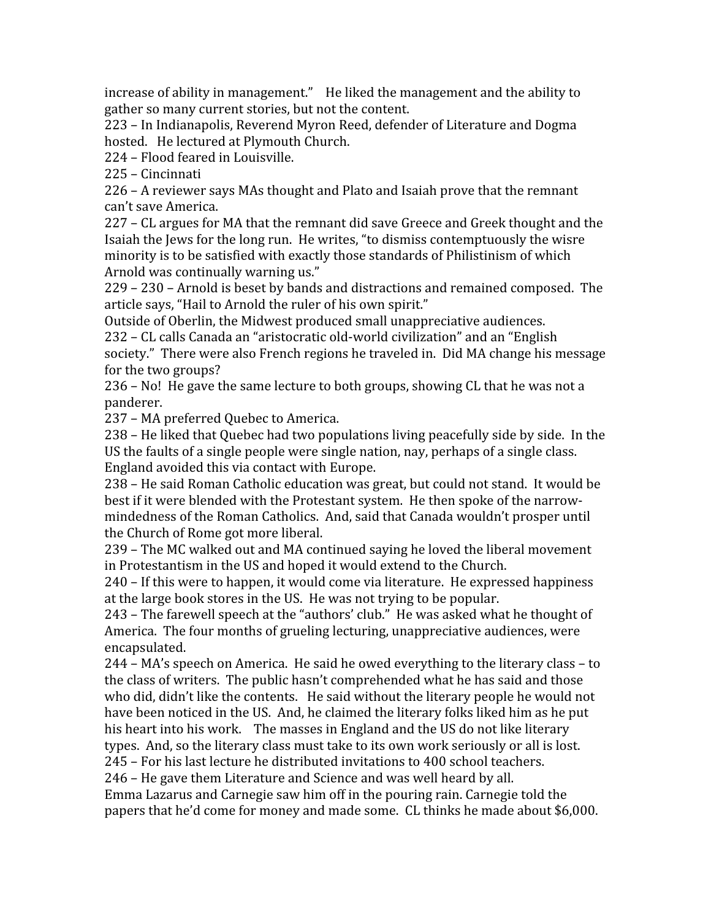increase of ability in management." He liked the management and the ability to gather
so
many
current
stories,
but
not
the
content.

223
–
In
Indianapolis,
Reverend
Myron
Reed,
defender
of
Literature
and
Dogma hosted.

He
lectured
at
Plymouth
Church.

224
–
Flood
feared
in
Louisville.

225
–
Cincinnati

226
–
A
reviewer
says
MAs
thought
and
Plato
and
Isaiah
prove
that
the
remnant can't
save
America.

227
–
CL
argues
for
MA
that
the
remnant
did
save
Greece
and
Greek
thought
and
the Isaiah the Jews for the long run. He writes, "to dismiss contemptuously the wisre minority is to be satisfied with exactly those standards of Philistinism of which Arnold
was
continually
warning
us."

229
–
230
–
Arnold
is
beset
by
bands
and
distractions
and
remained
composed.

The article
says,
"Hail
to
Arnold
the
ruler
of
his
own
spirit."

Outside
of
Oberlin,
the
Midwest
produced
small
unappreciative
audiences.

232
–
CL
calls
Canada
an
"aristocratic
old‐world
civilization"
and
an
"English society."

There
were
also
French
regions
he
traveled
in.

Did
MA
change
his
message for
the
two
groups?

236
–
No!

He
gave
the
same
lecture
to
both
groups,
showing
CL
that
he
was
not
a panderer.

237
–
MA
preferred
Quebec
to
America.

238
–
He
liked
that
Quebec
had
two
populations
living
peacefully
side
by
side.

In
the US the faults of a single people were single nation, nay, perhaps of a single class. England
avoided
this
via
contact
with
Europe.

238
–
He
said
Roman
Catholic
education
was
great,
but
could
not
stand.

It
would
be best if it were blended with the Protestant system. He then spoke of the narrowmindedness
of
the
Roman
Catholics.

And,
said
that
Canada
wouldn't
prosper
until the
Church
of
Rome
got
more
liberal.

239
–
The
MC
walked
out
and
MA
continued
saying
he
loved
the
liberal
movement in Protestantism in the US and hoped it would extend to the Church.

240
–
If
this
were
to
happen,
it
would
come
via
literature.

He
expressed
happiness at
the
large
book
stores
in
the
US.

He
was
not
trying
to
be
popular.

243 – The farewell speech at the "authors' club." He was asked what he thought of America.

The
four
months
of
grueling
lecturing,
unappreciative
audiences,
were encapsulated.

244
–
MA's
speech
on
America.

He
said
he
owed
everything
to
the
literary
class
–
to the
class
of
writers.

The
public
hasn't
comprehended
what
he
has
said
and
those who did, didn't like the contents. He said without the literary people he would not have been noticed in the US. And, he claimed the literary folks liked him as he put his heart into his work. The masses in England and the US do not like literary types. And, so the literary class must take to its own work seriously or all is lost. 245
–
For
his
last
lecture
he
distributed
invitations
to
400
school
teachers.

246
–
He
gave
them
Literature
and
Science
and
was
well
heard
by
all.

Emma
Lazarus
and
Carnegie
saw
him
off
in
the
pouring
rain.
Carnegie
told
the papers
that
he'd
come
for
money
and
made
some.

CL
thinks
he
made
about
\$6,000.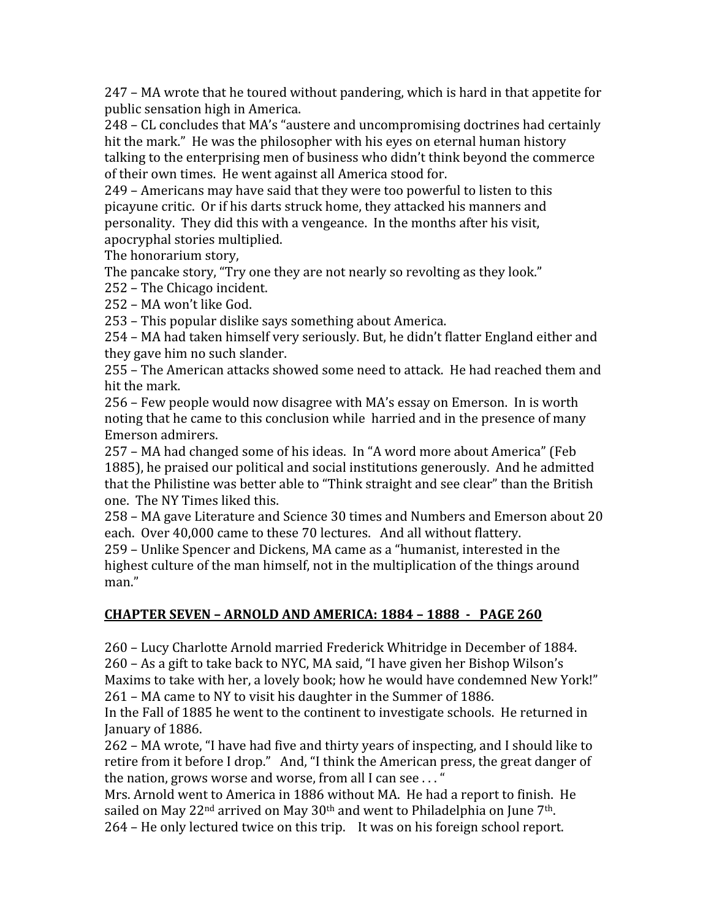247
–
MA
wrote
that
he
toured
without
pandering,
which
is
hard
in
that
appetite
for public
sensation
high
in
America.

248
–
CL
concludes
that
MA's
"austere
and
uncompromising
doctrines
had
certainly hit the mark." He was the philosopher with his eves on eternal human history talking to the enterprising men of business who didn't think beyond the commerce of
their
own
times.

He
went
against
all
America
stood
for.

249
–
Americans
may
have
said
that
they
were
too
powerful
to
listen
to
this picayune
critic.

Or
if
his
darts
struck
home,
they
attacked
his
manners
and personality.

They
did
this
with
a
vengeance.

In
the
months
after
his
visit, apocryphal
stories
multiplied.

The
honorarium
story,

The pancake story, "Try one they are not nearly so revolting as they look."

252
–
The
Chicago
incident.

252
–
MA
won't
like
God.

253
–
This
popular
dislike
says
something
about
America.

254
–
MA
had
taken
himself
very
seriously.
But,
he
didn't
flatter
England
either
and they
gave
him
no
such
slander.

255 – The American attacks showed some need to attack. He had reached them and hit
the
mark.

256
–
Few
people
would
now
disagree
with
MA's
essay
on
Emerson.

In
is
worth noting that he came to this conclusion while harried and in the presence of many Emerson
admirers.

257
–
MA
had
changed
some
of
his
ideas.

In
"A
word
more
about
America"
(Feb 1885),
he
praised
our
political
and
social
institutions
generously.

And
he
admitted that the Philistine was better able to "Think straight and see clear" than the British one.

The
NY
Times
liked
this.

258
–
MA
gave
Literature
and
Science
30
times
and
Numbers
and
Emerson
about
20 each.

Over
40,000
came
to
these
70
lectures.

And
all
without
flattery.

259 – Unlike Spencer and Dickens, MA came as a "humanist, interested in the highest culture of the man himself, not in the multiplication of the things around man."

# **CHAPTER
SEVEN
–
ARNOLD
AND
AMERICA:
1884
–
1888

PAGE
260**

260
–
Lucy
Charlotte
Arnold
married
Frederick
Whitridge
in
December
of
1884. 260
–
As
a
gift
to
take
back
to
NYC,
MA
said,
"I
have
given
her
Bishop
Wilson's Maxims to take with her, a lovely book; how he would have condemned New York!" 261
–
MA
came
to
NY
to
visit
his
daughter
in
the
Summer
of
1886.

In the Fall of 1885 he went to the continent to investigate schools. He returned in January
of
1886.

262
–
MA
wrote,
"I
have
had
five
and
thirty
years
of
inspecting,
and
I
should
like
to retire from it before I drop." And, "I think the American press, the great danger of the
nation,
grows
worse
and
worse,
from
all
I
can
see
.
.
.
"

Mrs.
Arnold
went
to
America
in
1886
without
MA.

He
had
a
report
to
finish.

He sailed on May  $22<sup>nd</sup>$  arrived on May  $30<sup>th</sup>$  and went to Philadelphia on June 7<sup>th</sup>. 264 – He only lectured twice on this trip. It was on his foreign school report.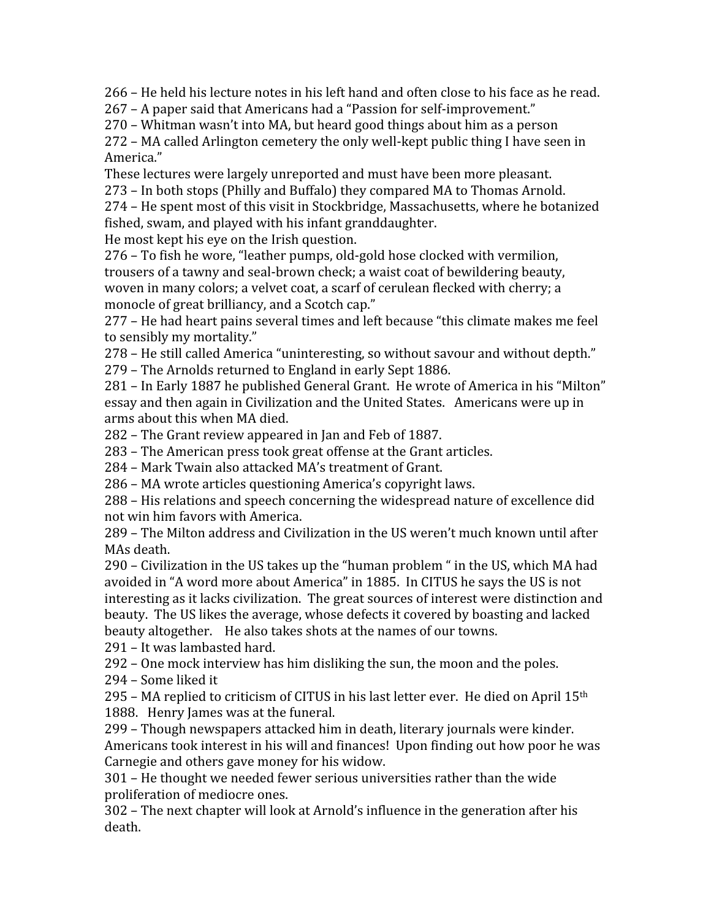266
–
He
held
his
lecture
notes
in
his
left
hand
and
often
close
to
his
face
as
he
read.

267
–
A
paper
said
that
Americans
had
a
"Passion
for
self‐improvement."

270
–
Whitman
wasn't
into
MA,
but
heard
good
things
about
him
as
a
person

272
–
MA
called
Arlington
cemetery
the
only
well‐kept
public
thing
I
have
seen
in America."

These
lectures
were
largely
unreported
and
must
have
been
more
pleasant.

273
–
In
both
stops
(Philly
and
Buffalo)
they
compared
MA
to
Thomas
Arnold.

274
–
He
spent
most
of
this
visit
in
Stockbridge,
Massachusetts,
where
he
botanized fished,
swam,
and
played
with
his
infant
granddaughter.

He
most
kept
his
eye
on
the
Irish
question.

276
–
To
fish
he
wore,
"leather
pumps,
old‐gold
hose
clocked
with
vermilion, trousers of a tawny and seal-brown check; a waist coat of bewildering beauty. woven in many colors; a velvet coat, a scarf of cerulean flecked with cherry; a monocle
of
great
brilliancy,
and
a
Scotch
cap."

277
–
He
had
heart
pains
several
times
and
left
because
"this
climate
makes
me
feel to
sensibly
my
mortality."

278
–
He
still
called
America
"uninteresting,
so
without
savour
and
without
depth." 279
–
The
Arnolds
returned
to
England
in
early
Sept
1886.

281
–
In
Early
1887
he
published
General
Grant.

He
wrote
of
America
in
his
"Milton" essay
and
then
again
in
Civilization
and
the
United
States.

Americans
were
up
in arms
about
this
when
MA
died.

282
–
The
Grant
review
appeared
in
Jan
and
Feb
of
1887.

283
–
The
American
press
took
great
offense
at
the
Grant
articles.

284 – Mark Twain also attacked MA's treatment of Grant.

286
–
MA
wrote
articles
questioning
America's
copyright
laws.

288
–
His
relations
and
speech
concerning
the
widespread
nature
of
excellence
did not
win
him
favors
with
America.

289
–
The
Milton
address
and
Civilization
in
the
US
weren't
much
known
until
after MAs
death.

290 – Civilization in the US takes up the "human problem" in the US, which MA had avoided
in
"A
word
more
about
America"
in
1885.

In
CITUS
he
says
the
US
is
not interesting
as
it
lacks
civilization.

The
great
sources
of
interest
were
distinction
and beauty.

The
US
likes
the
average,
whose
defects
it
covered
by
boasting
and
lacked beauty
altogether.

He
also
takes
shots
at
the
names
of
our
towns.

291
–
It
was
lambasted
hard.

292
–
One
mock
interview
has
him
disliking
the
sun,
the
moon
and
the
poles.

294
–
Some
liked
it

295 – MA replied to criticism of CITUS in his last letter ever. He died on April 15<sup>th</sup> 1888.

Henry
James
was
at
the
funeral.

299
–
Though
newspapers
attacked
him
in
death,
literary
journals
were
kinder. Americans took interest in his will and finances! Upon finding out how poor he was Carnegie
and
others
gave
money
for
his
widow.

301
–
He
thought
we
needed
fewer
serious
universities
rather
than
the
wide proliferation
of
mediocre
ones.

302
–
The
next
chapter
will
look
at
Arnold's
influence
in
the
generation
after
his death.